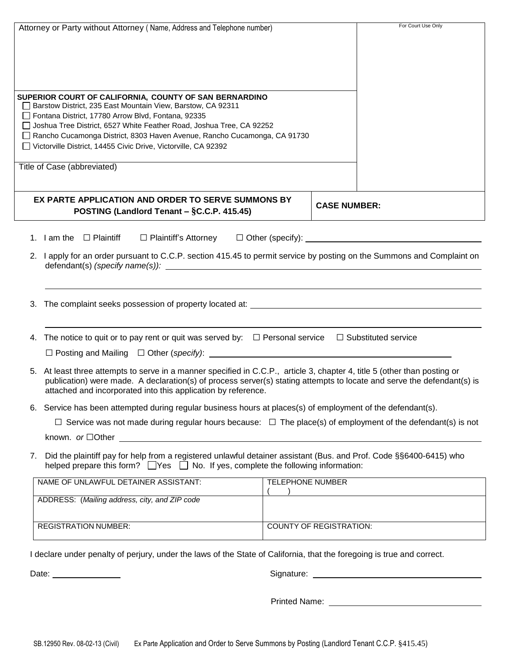|    | Attorney or Party without Attorney (Name, Address and Telephone number)                                                                                                                                                                                                                                                                                                                                 |                         |                                | For Court Use Only |  |  |
|----|---------------------------------------------------------------------------------------------------------------------------------------------------------------------------------------------------------------------------------------------------------------------------------------------------------------------------------------------------------------------------------------------------------|-------------------------|--------------------------------|--------------------|--|--|
|    |                                                                                                                                                                                                                                                                                                                                                                                                         |                         |                                |                    |  |  |
|    | SUPERIOR COURT OF CALIFORNIA, COUNTY OF SAN BERNARDINO<br>□ Barstow District, 235 East Mountain View, Barstow, CA 92311<br>Fontana District, 17780 Arrow Blvd, Fontana, 92335<br>□ Joshua Tree District, 6527 White Feather Road, Joshua Tree, CA 92252<br>Rancho Cucamonga District, 8303 Haven Avenue, Rancho Cucamonga, CA 91730<br>□ Victorville District, 14455 Civic Drive, Victorville, CA 92392 |                         |                                |                    |  |  |
|    | Title of Case (abbreviated)                                                                                                                                                                                                                                                                                                                                                                             |                         |                                |                    |  |  |
|    | EX PARTE APPLICATION AND ORDER TO SERVE SUMMONS BY<br>POSTING (Landlord Tenant – §C.C.P. 415.45)                                                                                                                                                                                                                                                                                                        |                         | <b>CASE NUMBER:</b>            |                    |  |  |
|    | 1. $I$ am the $\Box$ Plaintiff                                                                                                                                                                                                                                                                                                                                                                          |                         |                                |                    |  |  |
|    | 2. I apply for an order pursuant to C.C.P. section 415.45 to permit service by posting on the Summons and Complaint on                                                                                                                                                                                                                                                                                  |                         |                                |                    |  |  |
|    |                                                                                                                                                                                                                                                                                                                                                                                                         |                         |                                |                    |  |  |
|    | 4. The notice to quit or to pay rent or quit was served by: $\Box$ Personal service $\Box$ Substituted service                                                                                                                                                                                                                                                                                          |                         |                                |                    |  |  |
|    |                                                                                                                                                                                                                                                                                                                                                                                                         |                         |                                |                    |  |  |
|    | 5. At least three attempts to serve in a manner specified in C.C.P., article 3, chapter 4, title 5 (other than posting or<br>publication) were made. A declaration(s) of process server(s) stating attempts to locate and serve the defendant(s) is<br>attached and incorporated into this application by reference.                                                                                    |                         |                                |                    |  |  |
|    | 6. Service has been attempted during regular business hours at places(s) of employment of the defendant(s).                                                                                                                                                                                                                                                                                             |                         |                                |                    |  |  |
|    | $\Box$ Service was not made during regular hours because: $\Box$ The place(s) of employment of the defendant(s) is not                                                                                                                                                                                                                                                                                  |                         |                                |                    |  |  |
|    | known. $or \Box$ Other $\Box$                                                                                                                                                                                                                                                                                                                                                                           |                         |                                |                    |  |  |
| 7. | Did the plaintiff pay for help from a registered unlawful detainer assistant (Bus. and Prof. Code §§6400-6415) who<br>helped prepare this form? $\Box$ Yes $\Box$ No. If yes, complete the following information:                                                                                                                                                                                       |                         |                                |                    |  |  |
|    | NAME OF UNLAWFUL DETAINER ASSISTANT:                                                                                                                                                                                                                                                                                                                                                                    | <b>TELEPHONE NUMBER</b> |                                |                    |  |  |
|    | ADDRESS: (Mailing address, city, and ZIP code                                                                                                                                                                                                                                                                                                                                                           |                         |                                |                    |  |  |
|    | <b>REGISTRATION NUMBER:</b>                                                                                                                                                                                                                                                                                                                                                                             |                         | <b>COUNTY OF REGISTRATION:</b> |                    |  |  |
|    | declare under penalty of perjury, under the laws of the State of California, that the foregoing is true and correct.                                                                                                                                                                                                                                                                                    |                         |                                |                    |  |  |

Date: <u>Communications</u> Contract Contract Contract Contract Contract Contract Contract Contract Contract Contract Contract Contract Contract Contract Contract Contract Contract Contract Contract Contract Contract Contract C

Printed Name: